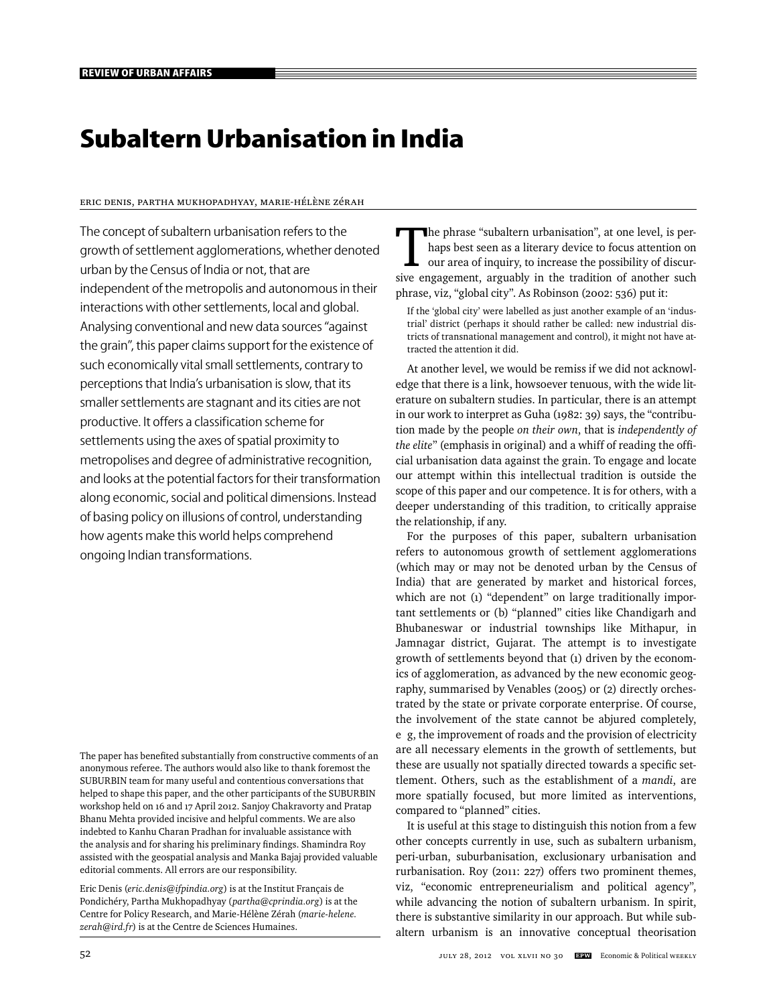# **Subaltern Urbanisation in India**

#### Eric Denis, Partha Mukhopadhyay, Marie-Hélène Zérah

The concept of subaltern urbanisation refers to the growth of settlement agglomerations, whether denoted urban by the Census of India or not, that are independent of the metropolis and autonomous in their interactions with other settlements, local and global. Analysing conventional and new data sources "against the grain", this paper claims support for the existence of such economically vital small settlements, contrary to perceptions that India's urbanisation is slow, that its smaller settlements are stagnant and its cities are not productive. It offers a classification scheme for settlements using the axes of spatial proximity to metropolises and degree of administrative recognition, and looks at the potential factors for their transformation along economic, social and political dimensions. Instead of basing policy on illusions of control, understanding how agents make this world helps comprehend ongoing Indian transformations.

The paper has benefited substantially from constructive comments of an anonymous referee. The authors would also like to thank foremost the SUBURBIN team for many useful and contentious conversations that helped to shape this paper, and the other participants of the SUBURBIN workshop held on 16 and 17 April 2012. Sanjoy Chakravorty and Pratap Bhanu Mehta provided incisive and helpful comments. We are also indebted to Kanhu Charan Pradhan for invaluable assistance with the analysis and for sharing his preliminary findings. Shamindra Roy assisted with the geospatial analysis and Manka Bajaj provided valuable editorial comments. All errors are our responsibility.

Eric Denis (*eric.denis@ifpindia.org*) is at the Institut Français de Pondichéry, Partha Mukhopadhyay (*partha@cprindia.org*) is at the Centre for Policy Research, and Marie-Hélène Zérah (*marie-helene. zerah@ird.fr*) is at the Centre de Sciences Humaines.

The phrase "subaltern urbanisation", at one level, is perhaps best seen as a literary device to focus attention on our area of inquiry, to increase the possibility of discursive engagement, arguably in the tradition of another such phrase, viz, "global city". As Robinson (2002: 536) put it:

If the 'global city' were labelled as just another example of an 'industrial' district (perhaps it should rather be called: new industrial districts of transnational management and control), it might not have attracted the attention it did.

At another level, we would be remiss if we did not acknowledge that there is a link, howsoever tenuous, with the wide literature on subaltern studies. In particular, there is an attempt in our work to interpret as Guha (1982: 39) says, the "contribution made by the people *on their own*, that is *independently of the elite*" (emphasis in original) and a whiff of reading the official urbanisation data against the grain. To engage and locate our attempt within this intellectual tradition is outside the scope of this paper and our competence. It is for others, with a deeper understanding of this tradition, to critically appraise the relationship, if any.

For the purposes of this paper, subaltern urbanisation refers to autonomous growth of settlement agglomerations (which may or may not be denoted urban by the Census of India) that are generated by market and historical forces, which are not (1) "dependent" on large traditionally important settlements or (b) "planned" cities like Chandigarh and Bhubaneswar or industrial townships like Mithapur, in Jamnagar district, Gujarat. The attempt is to investigate growth of settlements beyond that (1) driven by the economics of agglomeration, as advanced by the new economic geography, summarised by Venables (2005) or (2) directly orchestrated by the state or private corporate enterprise. Of course, the involvement of the state cannot be abjured completely, e g, the improvement of roads and the provision of electricity are all necessary elements in the growth of settlements, but these are usually not spatially directed towards a specific settlement. Others, such as the establishment of a *mandi*, are more spatially focused, but more limited as interventions, compared to "planned" cities.

It is useful at this stage to distinguish this notion from a few other concepts currently in use, such as subaltern urbanism, peri-urban, suburbanisation, exclusionary urbanisation and rurbanisation. Roy (2011: 227) offers two prominent themes, viz, "economic entrepreneurialism and political agency", while advancing the notion of subaltern urbanism. In spirit, there is substantive similarity in our approach. But while subaltern urbanism is an innovative conceptual theorisation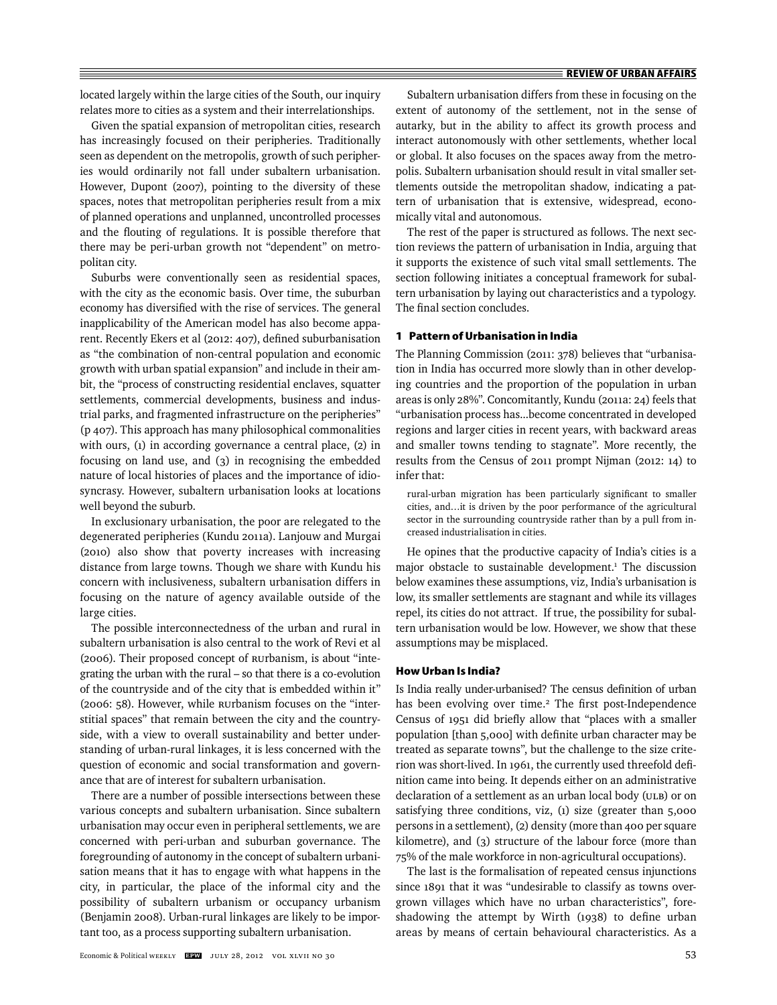located largely within the large cities of the South, our inquiry relates more to cities as a system and their interrelationships.

Given the spatial expansion of metropolitan cities, research has increasingly focused on their peripheries. Traditionally seen as dependent on the metropolis, growth of such peripheries would ordinarily not fall under subaltern urbanisation. However, Dupont (2007), pointing to the diversity of these spaces, notes that metropolitan peripheries result from a mix of planned operations and unplanned, uncontrolled processes and the flouting of regulations. It is possible therefore that there may be peri-urban growth not "dependent" on metropolitan city.

Suburbs were conventionally seen as residential spaces, with the city as the economic basis. Over time, the suburban economy has diversified with the rise of services. The general inapplicability of the American model has also become apparent. Recently Ekers et al (2012: 407), defined suburbanisation as "the combination of non-central population and economic growth with urban spatial expansion" and include in their ambit, the "process of constructing residential enclaves, squatter settlements, commercial developments, business and industrial parks, and fragmented infrastructure on the peripheries" (p 407). This approach has many philosophical commonalities with ours, (1) in according governance a central place, (2) in focusing on land use, and (3) in recognising the embedded nature of local histories of places and the importance of idiosyncrasy. However, subaltern urbanisation looks at locations well beyond the suburb.

In exclusionary urbanisation, the poor are relegated to the degenerated peripheries (Kundu 2011a). Lanjouw and Murgai (2010) also show that poverty increases with increasing distance from large towns. Though we share with Kundu his concern with inclusiveness, subaltern urbanisation differs in focusing on the nature of agency available outside of the large cities.

The possible interconnectedness of the urban and rural in subaltern urbanisation is also central to the work of Revi et al (2006). Their proposed concept of RUrbanism, is about "integrating the urban with the rural – so that there is a co-evolution of the countryside and of the city that is embedded within it" (2006: 58). However, while RUrbanism focuses on the "interstitial spaces" that remain between the city and the countryside, with a view to overall sustainability and better understanding of urban-rural linkages, it is less concerned with the question of economic and social transformation and governance that are of interest for subaltern urbanisation.

There are a number of possible intersections between these various concepts and subaltern urbanisation. Since subaltern urbanisation may occur even in peripheral settlements, we are concerned with peri-urban and suburban governance. The foregrounding of autonomy in the concept of subaltern urbanisation means that it has to engage with what happens in the city, in particular, the place of the informal city and the possibility of subaltern urbanism or occupancy urbanism (Benjamin 2008). Urban-rural linkages are likely to be important too, as a process supporting subaltern urbanisation.

Subaltern urbanisation differs from these in focusing on the extent of autonomy of the settlement, not in the sense of autarky, but in the ability to affect its growth process and interact autonomously with other settlements, whether local or global. It also focuses on the spaces away from the metropolis. Subaltern urbanisation should result in vital smaller settlements outside the metropolitan shadow, indicating a pattern of urbanisation that is extensive, widespread, economically vital and autonomous.

The rest of the paper is structured as follows. The next section reviews the pattern of urbanisation in India, arguing that it supports the existence of such vital small settlements. The section following initiates a conceptual framework for subaltern urbanisation by laying out characteristics and a typology. The final section concludes.

#### **1 Pattern of Urbanisation in India**

The Planning Commission (2011: 378) believes that "urbanisation in India has occurred more slowly than in other developing countries and the proportion of the population in urban areas is only 28%". Concomitantly, Kundu (2011a: 24) feels that "urbanisation process has...become concentrated in developed regions and larger cities in recent years, with backward areas and smaller towns tending to stagnate". More recently, the results from the Census of 2011 prompt Nijman (2012: 14) to infer that:

rural-urban migration has been particularly significant to smaller cities, and…it is driven by the poor performance of the agricultural sector in the surrounding countryside rather than by a pull from increased industrialisation in cities.

He opines that the productive capacity of India's cities is a major obstacle to sustainable development.<sup>1</sup> The discussion below examines these assumptions, viz, India's urbanisation is low, its smaller settlements are stagnant and while its villages repel, its cities do not attract. If true, the possibility for subaltern urbanisation would be low. However, we show that these assumptions may be misplaced.

#### **How Urban Is India?**

Is India really under-urbanised? The census definition of urban has been evolving over time.<sup>2</sup> The first post-Independence Census of 1951 did briefly allow that "places with a smaller population [than 5,000] with definite urban character may be treated as separate towns", but the challenge to the size criterion was short-lived. In 1961, the currently used threefold defi nition came into being. It depends either on an administrative declaration of a settlement as an urban local body (ULB) or on satisfying three conditions, viz, (1) size (greater than 5,000 persons in a settlement), (2) density (more than 400 per square kilometre), and (3) structure of the labour force (more than 75% of the male workforce in non-agricultural occupations).

The last is the formalisation of repeated census injunctions since 1891 that it was "undesirable to classify as towns overgrown villages which have no urban characteristics", foreshadowing the attempt by Wirth  $(1938)$  to define urban areas by means of certain behavioural characteristics. As a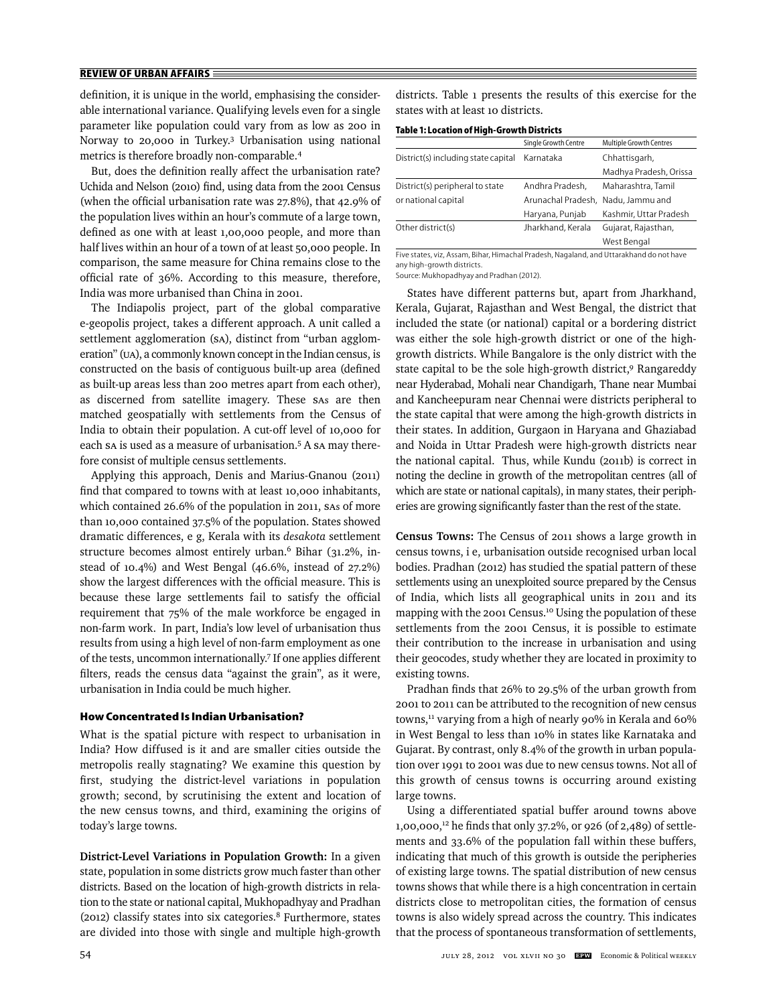definition, it is unique in the world, emphasising the considerable international variance. Qualifying levels even for a single parameter like population could vary from as low as 200 in Norway to 20,000 in Turkey.3 Urbanisation using national metrics is therefore broadly non-comparable.4

But, does the definition really affect the urbanisation rate? Uchida and Nelson (2010) find, using data from the 2001 Census (when the official urbanisation rate was 27.8%), that 42.9% of the population lives within an hour's commute of a large town, defined as one with at least 1,00,000 people, and more than half lives within an hour of a town of at least 50,000 people. In comparison, the same measure for China remains close to the official rate of 36%. According to this measure, therefore, India was more urbanised than China in 2001.

The Indiapolis project, part of the global comparative e-geopolis project, takes a different approach. A unit called a settlement agglomeration (SA), distinct from "urban agglomeration" (UA), a commonly known concept in the Indian census, is constructed on the basis of contiguous built-up area (defined as built-up areas less than 200 metres apart from each other), as discerned from satellite imagery. These SAs are then matched geospatially with settlements from the Census of India to obtain their population. A cut-off level of 10,000 for each sa is used as a measure of urbanisation.<sup>5</sup> A sa may therefore consist of multiple census settlements.

Applying this approach, Denis and Marius-Gnanou (2011) find that compared to towns with at least 10,000 inhabitants, which contained 26.6% of the population in 2011, SAs of more than 10,000 contained 37.5% of the population. States showed dramatic differences, e g, Kerala with its *desakota* settlement structure becomes almost entirely urban.<sup>6</sup> Bihar (31.2%, instead of 10.4%) and West Bengal (46.6%, instead of 27.2%) show the largest differences with the official measure. This is because these large settlements fail to satisfy the official requirement that 75% of the male workforce be engaged in non-farm work. In part, India's low level of urbanisation thus results from using a high level of non-farm employment as one of the tests, uncommon internationally.7 If one applies different filters, reads the census data "against the grain", as it were, urbanisation in India could be much higher.

#### **How Concentrated Is Indian Urbanisation?**

What is the spatial picture with respect to urbanisation in India? How diffused is it and are smaller cities outside the metropolis really stagnating? We examine this question by first, studying the district-level variations in population growth; second, by scrutinising the extent and location of the new census towns, and third, examining the origins of today's large towns.

**District-Level Variations in Population Growth:** In a given state, population in some districts grow much faster than other districts. Based on the location of high-growth districts in relation to the state or national capital, Mukhopadhyay and Pradhan  $(2012)$  classify states into six categories.<sup>8</sup> Furthermore, states are divided into those with single and multiple high-growth

districts. Table 1 presents the results of this exercise for the states with at least 10 districts.

**Table 1: Location of High-Growth Districts**

|                                     | Single Growth Centre               | Multiple Growth Centres |
|-------------------------------------|------------------------------------|-------------------------|
| District(s) including state capital | Karnataka                          | Chhattisgarh,           |
|                                     |                                    | Madhya Pradesh, Orissa  |
| District(s) peripheral to state     | Andhra Pradesh,                    | Maharashtra, Tamil      |
| or national capital                 | Arunachal Pradesh, Nadu, Jammu and |                         |
|                                     | Haryana, Punjab                    | Kashmir, Uttar Pradesh  |
| Other district(s)                   | Jharkhand, Kerala                  | Gujarat, Rajasthan,     |
|                                     |                                    | West Bengal             |

Five states, viz, Assam, Bihar, Himachal Pradesh, Nagaland, and Uttarakhand do not have any high-growth districts.

Source: Mukhopadhyay and Pradhan (2012).

States have different patterns but, apart from Jharkhand, Kerala, Gujarat, Rajasthan and West Bengal, the district that included the state (or national) capital or a bordering district was either the sole high-growth district or one of the highgrowth districts. While Bangalore is the only district with the state capital to be the sole high-growth district,<sup>9</sup> Rangareddy near Hyderabad, Mohali near Chandigarh, Thane near Mumbai and Kancheepuram near Chennai were districts peripheral to the state capital that were among the high-growth districts in their states. In addition, Gurgaon in Haryana and Ghaziabad and Noida in Uttar Pradesh were high-growth districts near the national capital. Thus, while Kundu (2011b) is correct in noting the decline in growth of the metropolitan centres (all of which are state or national capitals), in many states, their peripheries are growing significantly faster than the rest of the state.

**Census Towns:** The Census of 2011 shows a large growth in census towns, i e, urbanisation outside recognised urban local bodies. Pradhan (2012) has studied the spatial pattern of these settlements using an unexploited source prepared by the Census of India, which lists all geographical units in 2011 and its mapping with the 2001 Census.<sup>10</sup> Using the population of these settlements from the 2001 Census, it is possible to estimate their contribution to the increase in urbanisation and using their geocodes, study whether they are located in proximity to existing towns.

Pradhan finds that 26% to 29.5% of the urban growth from 2001 to 2011 can be attributed to the recognition of new census towns,<sup>11</sup> varying from a high of nearly 90% in Kerala and 60% in West Bengal to less than 10% in states like Karnataka and Gujarat. By contrast, only 8.4% of the growth in urban population over 1991 to 2001 was due to new census towns. Not all of this growth of census towns is occurring around existing large towns.

Using a differentiated spatial buffer around towns above  $1,00,000$ ,<sup>12</sup> he finds that only 37.2%, or 926 (of 2,489) of settlements and 33.6% of the population fall within these buffers, indicating that much of this growth is outside the peripheries of existing large towns. The spatial distribution of new census towns shows that while there is a high concentration in certain districts close to metropolitan cities, the formation of census towns is also widely spread across the country. This indicates that the process of spontaneous transformation of settlements,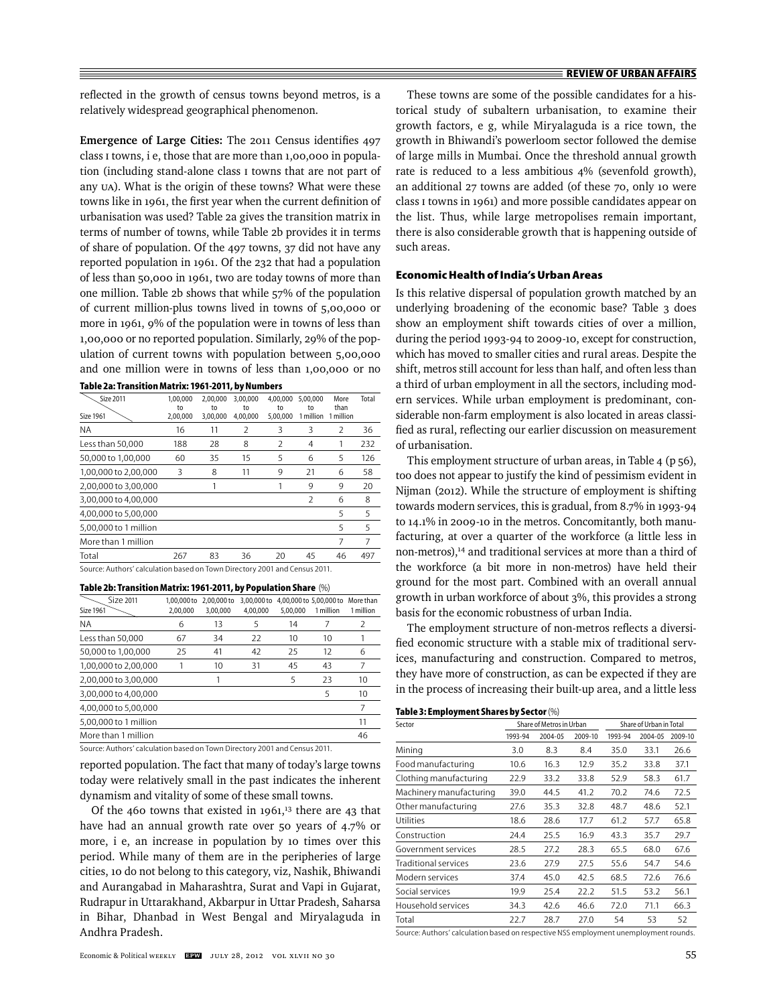reflected in the growth of census towns beyond metros, is a relatively widespread geographical phenomenon.

Emergence of Large Cities: The 2011 Census identifies 497 class I towns, i e, those that are more than 1,00,000 in population (including stand-alone class I towns that are not part of any UA). What is the origin of these towns? What were these towns like in 1961, the first year when the current definition of urbanisation was used? Table 2a gives the transition matrix in terms of number of towns, while Table 2b provides it in terms of share of population. Of the 497 towns, 37 did not have any reported population in 1961. Of the 232 that had a population of less than 50,000 in 1961, two are today towns of more than one million. Table 2b shows that while 57% of the population of current million-plus towns lived in towns of 5,00,000 or more in 1961, 9% of the population were in towns of less than 1,00,000 or no reported population. Similarly, 29% of the population of current towns with population between 5,00,000 and one million were in towns of less than 1,00,000 or no

| <b>Size 2011</b>      | 1.00.000       | 2,00,000       | 3,00,000       | 4,00,000       | 5.00.000        | More              | Total |
|-----------------------|----------------|----------------|----------------|----------------|-----------------|-------------------|-------|
| <b>Size 1961</b>      | to<br>2,00,000 | to<br>3,00,000 | to<br>4,00,000 | to<br>5,00,000 | to<br>1 million | than<br>1 million |       |
| <b>NA</b>             | 16             | 11             | $\mathcal{P}$  | 3              | 3               | 2                 | 36    |
| Less than 50,000      | 188            | 28             | 8              | $\mathcal{P}$  | 4               | 1                 | 232   |
| 50,000 to 1,00,000    | 60             | 35             | 15             | 5              | 6               | 5                 | 126   |
| 1,00,000 to 2,00,000  | 3              | 8              | 11             | 9              | 21              | 6                 | 58    |
| 2,00,000 to 3,00,000  |                | 1              |                |                | 9               | 9                 | 20    |
| 3,00,000 to 4,00,000  |                |                |                |                | $\mathcal{P}$   | 6                 | 8     |
| 4,00,000 to 5,00,000  |                |                |                |                |                 | 5                 | 5     |
| 5,00,000 to 1 million |                |                |                |                |                 | 5                 | 5     |
| More than 1 million   |                |                |                |                |                 | 7                 | 7     |
| Total                 | 267            | 83             | 36             | 20             | 45              | 46                | 497   |

Source: Authors' calculation based on Town Directory 2001 and Census 2011.

#### **Table 2b: Transition Matrix: 1961-2011, by Population Share** (%)

| Size 2011             | 1.00.000 to | 2.00.000 to | 3.00.000 to |          | 4.00.000 to 5.00.000 to | More than     |
|-----------------------|-------------|-------------|-------------|----------|-------------------------|---------------|
| Size 1961             | 2.00.000    | 3.00.000    | 4.00.000    | 5.00.000 | 1 million               | 1 million     |
| <b>NA</b>             | 6           | 13          | 5           | 14       | 7                       | $\mathcal{P}$ |
| Less than 50,000      | 67          | 34          | 22          | 10       | 10                      |               |
| 50,000 to 1,00,000    | 25          | 41          | 42          | 25       | 12                      | 6             |
| 1,00,000 to 2,00,000  |             | 10          | 31          | 45       | 43                      | 7             |
| 2,00,000 to 3,00,000  |             |             |             | 5        | 23                      | 10            |
| 3,00,000 to 4,00,000  |             |             |             |          | 5                       | 10            |
| 4,00,000 to 5,00,000  |             |             |             |          |                         | 7             |
| 5,00,000 to 1 million |             |             |             |          |                         | 11            |
| More than 1 million   |             |             |             |          |                         | 46            |

Source: Authors' calculation based on Town Directory 2001 and Census 2011.

reported population. The fact that many of today's large towns today were relatively small in the past indicates the inherent dynamism and vitality of some of these small towns.

Of the 460 towns that existed in 1961, $13$  there are 43 that have had an annual growth rate over 50 years of 4.7% or more, i e, an increase in population by 10 times over this period. While many of them are in the peripheries of large cities, 10 do not belong to this category, viz, Nashik, Bhiwandi and Aurangabad in Maharashtra, Surat and Vapi in Gujarat, Rudrapur in Uttarakhand, Akbarpur in Uttar Pradesh, Saharsa in Bihar, Dhanbad in West Bengal and Miryalaguda in Andhra Pradesh.

These towns are some of the possible candidates for a historical study of subaltern urbanisation, to examine their growth factors, e g, while Miryalaguda is a rice town, the growth in Bhiwandi's powerloom sector followed the demise of large mills in Mumbai. Once the threshold annual growth rate is reduced to a less ambitious 4% (sevenfold growth), an additional 27 towns are added (of these 70, only 10 were class I towns in 1961) and more possible candidates appear on the list. Thus, while large metropolises remain important, there is also considerable growth that is happening outside of such areas.

#### **Economic Health of India's Urban Areas**

Is this relative dispersal of population growth matched by an underlying broadening of the economic base? Table 3 does show an employment shift towards cities of over a million, during the period 1993-94 to 2009-10, except for construction, which has moved to smaller cities and rural areas. Despite the shift, metros still account for less than half, and often less than a third of urban employment in all the sectors, including modern services. While urban employment is predominant, considerable non-farm employment is also located in areas classified as rural, reflecting our earlier discussion on measurement of urbanisation.

This employment structure of urban areas, in Table 4 (p 56), too does not appear to justify the kind of pessimism evident in Nijman (2012). While the structure of employment is shifting towards modern services, this is gradual, from 8.7% in 1993-94 to 14.1% in 2009-10 in the metros. Concomitantly, both manufacturing, at over a quarter of the workforce (a little less in non-metros),<sup>14</sup> and traditional services at more than a third of the workforce (a bit more in non-metros) have held their ground for the most part. Combined with an overall annual growth in urban workforce of about 3%, this provides a strong basis for the economic robustness of urban India.

The employment structure of non-metros reflects a diversified economic structure with a stable mix of traditional services, manufacturing and construction. Compared to metros, they have more of construction, as can be expected if they are in the process of increasing their built-up area, and a little less

|  | Table 3: Employment Shares by Sector (%) |  |
|--|------------------------------------------|--|
|--|------------------------------------------|--|

| Sector                  | Share of Metros in Urban |         |         | Share of Urban in Total |         |         |
|-------------------------|--------------------------|---------|---------|-------------------------|---------|---------|
|                         | 1993-94                  | 2004-05 | 2009-10 | 1993-94                 | 2004-05 | 2009-10 |
| Mining                  | 3.0                      | 8.3     | 8.4     | 35.0                    | 33.1    | 26.6    |
| Food manufacturing      | 10.6                     | 16.3    | 12.9    | 35.2                    | 33.8    | 37.1    |
| Clothing manufacturing  | 22.9                     | 33.2    | 33.8    | 52.9                    | 58.3    | 61.7    |
| Machinery manufacturing | 39.0                     | 44.5    | 41.2    | 70.2                    | 74.6    | 72.5    |
| Other manufacturing     | 27.6                     | 35.3    | 32.8    | 48.7                    | 48.6    | 52.1    |
| Utilities               | 18.6                     | 28.6    | 17.7    | 61.2                    | 57.7    | 65.8    |
| Construction            | 24.4                     | 25.5    | 16.9    | 43.3                    | 35.7    | 29.7    |
| Government services     | 28.5                     | 27.2    | 28.3    | 65.5                    | 68.0    | 67.6    |
| Traditional services    | 23.6                     | 27.9    | 27.5    | 55.6                    | 54.7    | 54.6    |
| Modern services         | 37.4                     | 45.0    | 42.5    | 68.5                    | 72.6    | 76.6    |
| Social services         | 19.9                     | 25.4    | 22.2    | 51.5                    | 53.2    | 56.1    |
| Household services      | 34.3                     | 42.6    | 46.6    | 72.0                    | 71.1    | 66.3    |
| Total                   | 22.7                     | 28.7    | 27.0    | 54                      | 53      | 52      |

Source: Authors' calculation based on respective NSS employment unemployment rounds.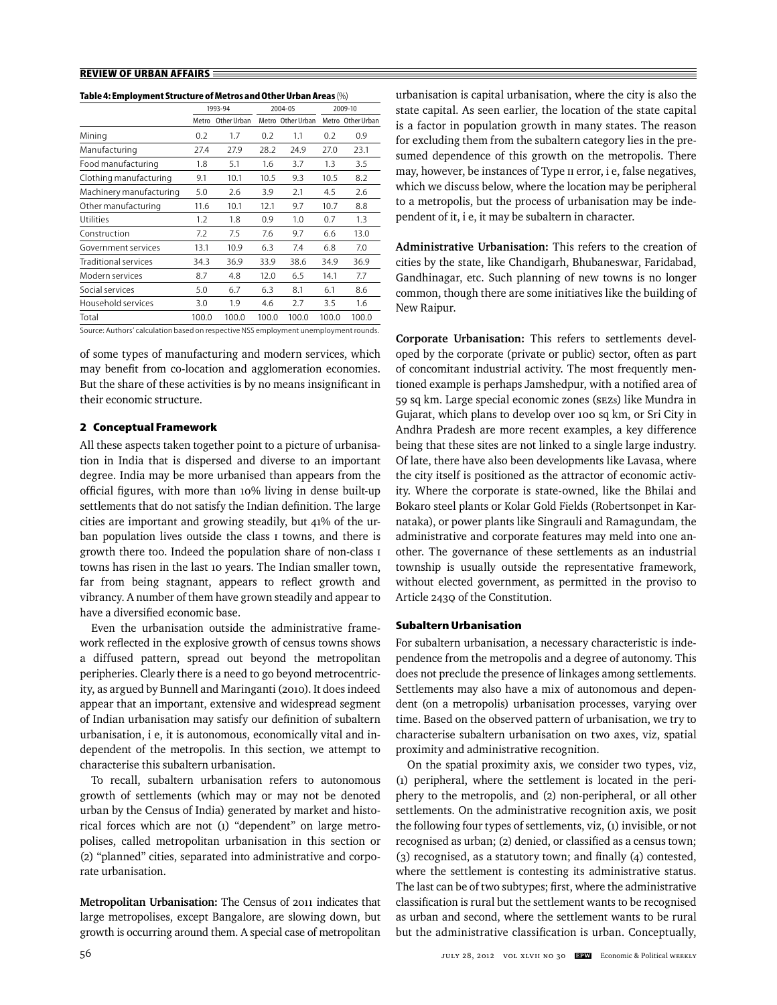|  | Table 4: Employment Structure of Metros and Other Urban Areas (%) |
|--|-------------------------------------------------------------------|
|--|-------------------------------------------------------------------|

|                         | 1993-94 |              | 2004-05 |                   | 2009-10 |                   |
|-------------------------|---------|--------------|---------|-------------------|---------|-------------------|
|                         | Metro   | Other Urban  |         | Metro Other Urban |         | Metro Other Urban |
| Mining                  | 0.2     | 1.7          | 0.2     | 1.1               | 0.2     | 0.9               |
| Manufacturing           | 27.4    | 27.9         | 28.2    | 24.9              | 27.0    | 23.1              |
| Food manufacturing      | 1.8     | 5.1          | 1.6     | 3.7               | 1.3     | 3.5               |
| Clothing manufacturing  | 9.1     | 10.1         | 10.5    | 9.3               | 10.5    | 8.2               |
| Machinery manufacturing | 5.0     | 2.6          | 3.9     | 2.1               | 4.5     | 2.6               |
| Other manufacturing     | 11.6    | 10.1         | 12.1    | 9.7               | 10.7    | 8.8               |
| Utilities               | 1.2     | 1.8          | 0.9     | 1.0               | 0.7     | 1.3               |
| Construction            | 7.2     | 7.5          | 7.6     | 9.7               | 6.6     | 13.0              |
| Government services     | 13.1    | 10.9         | 6.3     | 7.4               | 6.8     | 7.0               |
| Traditional services    | 34.3    | 36.9         | 33.9    | 38.6              | 34.9    | 36.9              |
| Modern services         | 8.7     | 4.8          | 12.0    | 6.5               | 14.1    | 7.7               |
| Social services         | 5.0     | 6.7          | 6.3     | 8.1               | 6.1     | 8.6               |
| Household services      | 3.0     | 1.9          | 4.6     | 2.7               | 3.5     | 1.6               |
| Total                   | 100.0   | 100.0        | 100.0   | 100.0             | 100.0   | 100.0             |
| .                       |         | <b>ALC 0</b> |         |                   |         |                   |

Source: Authors' calculation based on respective NSS employment unemployment rounds.

of some types of manufacturing and modern services, which may benefit from co-location and agglomeration economies. But the share of these activities is by no means insignificant in their economic structure.

#### **2 Conceptual Framework**

All these aspects taken together point to a picture of urbanisation in India that is dispersed and diverse to an important degree. India may be more urbanised than appears from the official figures, with more than 10% living in dense built-up settlements that do not satisfy the Indian definition. The large cities are important and growing steadily, but 41% of the urban population lives outside the class I towns, and there is growth there too. Indeed the population share of non-class I towns has risen in the last 10 years. The Indian smaller town, far from being stagnant, appears to reflect growth and vibrancy. A number of them have grown steadily and appear to have a diversified economic base.

Even the urbanisation outside the administrative framework reflected in the explosive growth of census towns shows a diffused pattern, spread out beyond the metropolitan peripheries. Clearly there is a need to go beyond metrocentricity, as argued by Bunnell and Maringanti (2010). It does indeed appear that an important, extensive and widespread segment of Indian urbanisation may satisfy our definition of subaltern urbanisation, i e, it is autonomous, economically vital and independent of the metropolis. In this section, we attempt to characterise this subaltern urbanisation.

To recall, subaltern urbanisation refers to autonomous growth of settlements (which may or may not be denoted urban by the Census of India) generated by market and historical forces which are not (1) "dependent" on large metropolises, called metropolitan urbanisation in this section or (2) "planned" cities, separated into administrative and corporate urbanisation.

**Metropolitan Urbanisation:** The Census of 2011 indicates that large metropolises, except Bangalore, are slowing down, but growth is occurring around them. A special case of metropolitan

urbanisation is capital urbanisation, where the city is also the state capital. As seen earlier, the location of the state capital is a factor in population growth in many states. The reason for excluding them from the subaltern category lies in the presumed dependence of this growth on the metropolis. There may, however, be instances of Type II error, i e, false negatives, which we discuss below, where the location may be peripheral to a metropolis, but the process of urbanisation may be independent of it, i e, it may be subaltern in character.

**Administrative Urbanisation:** This refers to the creation of cities by the state, like Chandigarh, Bhubaneswar, Faridabad, Gandhinagar, etc. Such planning of new towns is no longer common, though there are some initiatives like the building of New Raipur.

**Corporate Urbanisation:** This refers to settlements developed by the corporate (private or public) sector, often as part of concomitant industrial activity. The most frequently mentioned example is perhaps Jamshedpur, with a notified area of 59 sq km. Large special economic zones (SEZs) like Mundra in Gujarat, which plans to develop over 100 sq km, or Sri City in Andhra Pradesh are more recent examples, a key difference being that these sites are not linked to a single large industry. Of late, there have also been developments like Lavasa, where the city itself is positioned as the attractor of economic activity. Where the corporate is state-owned, like the Bhilai and Bokaro steel plants or Kolar Gold Fields (Robertsonpet in Karnataka), or power plants like Singrauli and Ramagundam, the administrative and corporate features may meld into one another. The governance of these settlements as an industrial township is usually outside the representative framework, without elected government, as permitted in the proviso to Article 243Q of the Constitution.

#### **Subaltern Urbanisation**

For subaltern urbanisation, a necessary characteristic is independence from the metropolis and a degree of autonomy. This does not preclude the presence of linkages among settlements. Settlements may also have a mix of autonomous and dependent (on a metropolis) urbanisation processes, varying over time. Based on the observed pattern of urbanisation, we try to characterise subaltern urbanisation on two axes, viz, spatial proximity and administrative recognition.

On the spatial proximity axis, we consider two types, viz, (1) peripheral, where the settlement is located in the periphery to the metropolis, and (2) non-peripheral, or all other settlements. On the administrative recognition axis, we posit the following four types of settlements, viz, (1) invisible, or not recognised as urban; (2) denied, or classified as a census town;  $(3)$  recognised, as a statutory town; and finally  $(4)$  contested, where the settlement is contesting its administrative status. The last can be of two subtypes; first, where the administrative classification is rural but the settlement wants to be recognised as urban and second, where the settlement wants to be rural but the administrative classification is urban. Conceptually,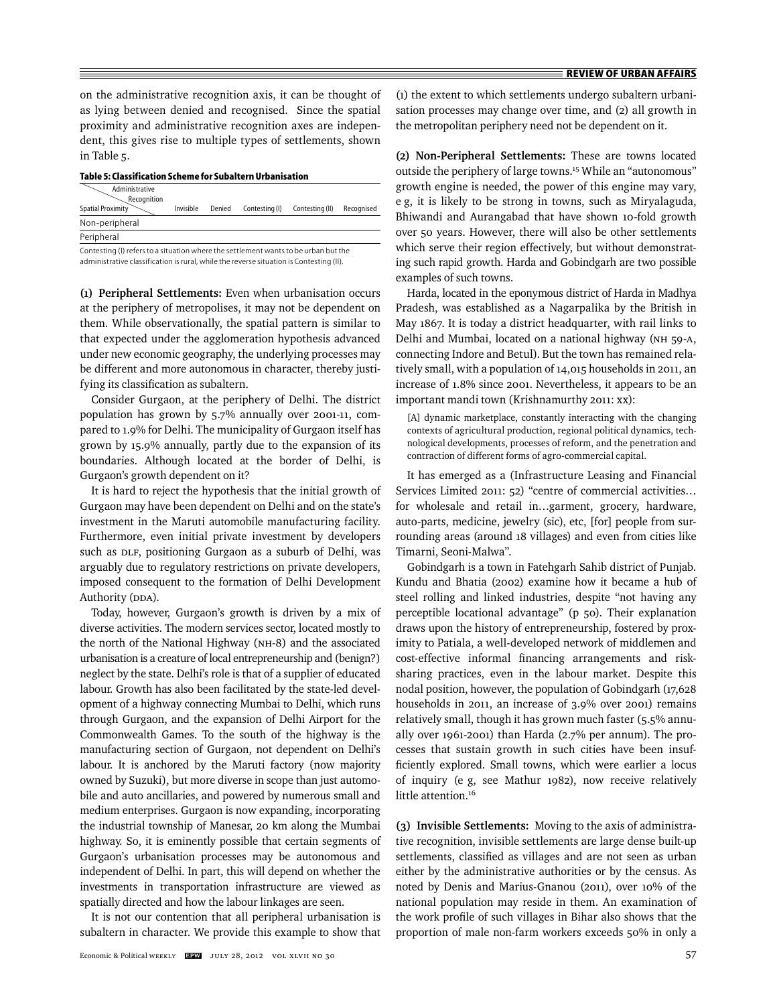on the administrative recognition axis, it can be thought of as lying between denied and recognised. Since the spatial proximity and administrative recognition axes are independent, this gives rise to multiple types of settlements, shown in Table 5.

**Table 5: Classification Scheme for Subaltern Urbanisation**

| Administrative<br>Recognition                                                       |           |        |                |                 |            |
|-------------------------------------------------------------------------------------|-----------|--------|----------------|-----------------|------------|
| Spatial Proximity                                                                   | Invisible | Denied | Contesting (I) | Contesting (II) | Recognised |
| Non-peripheral                                                                      |           |        |                |                 |            |
| Peripheral                                                                          |           |        |                |                 |            |
| Contesting (I) refers to a situation where the settlement wants to be urban but the |           |        |                |                 |            |

administrative classification is rural, while the reverse situation is Contesting (II).

**(1) Peripheral Settlements:** Even when urbanisation occurs at the periphery of metropolises, it may not be dependent on them. While observationally, the spatial pattern is similar to that expected under the agglomeration hypothesis advanced under new economic geography, the underlying processes may be different and more autonomous in character, thereby justifying its classification as subaltern.

Consider Gurgaon, at the periphery of Delhi. The district population has grown by 5.7% annually over 2001-11, compared to 1.9% for Delhi. The municipality of Gurgaon itself has grown by 15.9% annually, partly due to the expansion of its boundaries. Although located at the border of Delhi, is Gurgaon's growth dependent on it?

It is hard to reject the hypothesis that the initial growth of Gurgaon may have been dependent on Delhi and on the state's investment in the Maruti automobile manufacturing facility. Furthermore, even initial private investment by developers such as DLF, positioning Gurgaon as a suburb of Delhi, was arguably due to regulatory restrictions on private developers, imposed consequent to the formation of Delhi Development Authority (DDA).

Today, however, Gurgaon's growth is driven by a mix of diverse activities. The modern services sector, located mostly to the north of the National Highway (NH-8) and the associated urbanisation is a creature of local entrepreneurship and (benign?) neglect by the state. Delhi's role is that of a supplier of educated labour. Growth has also been facilitated by the state-led development of a highway connecting Mumbai to Delhi, which runs through Gurgaon, and the expansion of Delhi Airport for the Commonwealth Games. To the south of the highway is the manufacturing section of Gurgaon, not dependent on Delhi's labour. It is anchored by the Maruti factory (now majority owned by Suzuki), but more diverse in scope than just automobile and auto ancillaries, and powered by numerous small and medium enterprises. Gurgaon is now expanding, incorporating the industrial township of Manesar, 20 km along the Mumbai highway. So, it is eminently possible that certain segments of Gurgaon's urbanisation processes may be autonomous and independent of Delhi. In part, this will depend on whether the investments in transportation infrastructure are viewed as spatially directed and how the labour linkages are seen.

It is not our contention that all peripheral urbanisation is subaltern in character. We provide this example to show that

(1) the extent to which settlements undergo subaltern urbanisation processes may change over time, and (2) all growth in the metropolitan periphery need not be dependent on it.

**(2) Non-Peripheral Settlements:** These are towns located outside the periphery of large towns.15 While an "autonomous" growth engine is needed, the power of this engine may vary, e g, it is likely to be strong in towns, such as Miryalaguda, Bhiwandi and Aurangabad that have shown 10-fold growth over 50 years. However, there will also be other settlements which serve their region effectively, but without demonstrating such rapid growth. Harda and Gobindgarh are two possible examples of such towns.

Harda, located in the eponymous district of Harda in Madhya Pradesh, was established as a Nagarpalika by the British in May 1867. It is today a district headquarter, with rail links to Delhi and Mumbai, located on a national highway (NH 59-A, connecting Indore and Betul). But the town has remained relatively small, with a population of 14,015 households in 2011, an increase of 1.8% since 2001. Nevertheless, it appears to be an important mandi town (Krishnamurthy 2011: xx):

[A] dynamic marketplace, constantly interacting with the changing contexts of agricultural production, regional political dynamics, technological developments, processes of reform, and the penetration and contraction of different forms of agro-commercial capital.

It has emerged as a (Infrastructure Leasing and Financial Services Limited 2011: 52) "centre of commercial activities… for wholesale and retail in…garment, grocery, hardware, auto-parts, medicine, jewelry (sic), etc, [for] people from surrounding areas (around 18 villages) and even from cities like Timarni, Seoni-Malwa".

Gobindgarh is a town in Fatehgarh Sahib district of Punjab. Kundu and Bhatia (2002) examine how it became a hub of steel rolling and linked industries, despite "not having any perceptible locational advantage" (p 50). Their explanation draws upon the history of entrepreneurship, fostered by proximity to Patiala, a well-developed network of middlemen and cost-effective informal financing arrangements and risksharing practices, even in the labour market. Despite this nodal position, however, the population of Gobindgarh (17,628 households in 2011, an increase of 3.9% over 2001) remains relatively small, though it has grown much faster (5.5% annually over 1961-2001) than Harda (2.7% per annum). The processes that sustain growth in such cities have been insufficiently explored. Small towns, which were earlier a locus of inquiry (e g, see Mathur 1982), now receive relatively little attention.<sup>16</sup>

**(3) Invisible Settlements:** Moving to the axis of administrative recognition, invisible settlements are large dense built-up settlements, classified as villages and are not seen as urban either by the administrative authorities or by the census. As noted by Denis and Marius-Gnanou (2011), over 10% of the national population may reside in them. An examination of the work profile of such villages in Bihar also shows that the proportion of male non-farm workers exceeds 50% in only a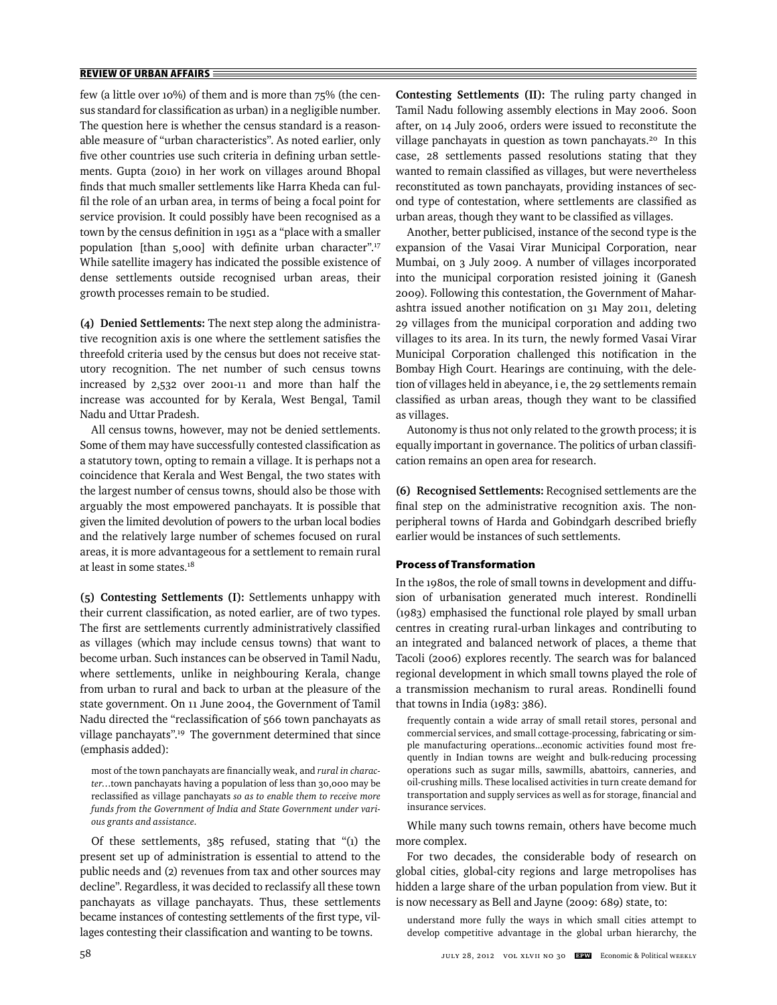few (a little over 10%) of them and is more than 75% (the census standard for classification as urban) in a negligible number. The question here is whether the census standard is a reasonable measure of "urban characteristics". As noted earlier, only five other countries use such criteria in defining urban settlements. Gupta (2010) in her work on villages around Bhopal finds that much smaller settlements like Harra Kheda can fulfil the role of an urban area, in terms of being a focal point for service provision. It could possibly have been recognised as a town by the census definition in 1951 as a "place with a smaller population [than  $5,000$ ] with definite urban character".<sup>17</sup> While satellite imagery has indicated the possible existence of dense settlements outside recognised urban areas, their growth processes remain to be studied.

**(4) Denied Settlements:** The next step along the administrative recognition axis is one where the settlement satisfies the threefold criteria used by the census but does not receive statutory recognition. The net number of such census towns increased by 2,532 over 2001-11 and more than half the increase was accounted for by Kerala, West Bengal, Tamil Nadu and Uttar Pradesh.

All census towns, however, may not be denied settlements. Some of them may have successfully contested classification as a statutory town, opting to remain a village. It is perhaps not a coincidence that Kerala and West Bengal, the two states with the largest number of census towns, should also be those with arguably the most empowered panchayats. It is possible that given the limited devolution of powers to the urban local bodies and the relatively large number of schemes focused on rural areas, it is more advantageous for a settlement to remain rural at least in some states.18

**(5) Contesting Settlements (I):** Settlements unhappy with their current classification, as noted earlier, are of two types. The first are settlements currently administratively classified as villages (which may include census towns) that want to become urban. Such instances can be observed in Tamil Nadu, where settlements, unlike in neighbouring Kerala, change from urban to rural and back to urban at the pleasure of the state government. On 11 June 2004, the Government of Tamil Nadu directed the "reclassification of 566 town panchayats as village panchayats".19 The government determined that since (emphasis added):

most of the town panchayats are financially weak, and *rural in character*…town panchayats having a population of less than 30,000 may be reclassified as village panchayats so as to enable them to receive more *funds from the Government of India and State Government under various grants and assistance*.

Of these settlements, 385 refused, stating that "(1) the present set up of administration is essential to attend to the public needs and (2) revenues from tax and other sources may decline". Regardless, it was decided to reclassify all these town panchayats as village panchayats. Thus, these settlements became instances of contesting settlements of the first type, villages contesting their classification and wanting to be towns.

**Contesting Settlements (II):** The ruling party changed in Tamil Nadu following assembly elections in May 2006. Soon after, on 14 July 2006, orders were issued to reconstitute the village panchayats in question as town panchayats.<sup>20</sup> In this case, 28 settlements passed resolutions stating that they wanted to remain classified as villages, but were nevertheless reconstituted as town panchayats, providing instances of second type of contestation, where settlements are classified as urban areas, though they want to be classified as villages.

Another, better publicised, instance of the second type is the expansion of the Vasai Virar Municipal Corporation, near Mumbai, on 3 July 2009. A number of villages incorporated into the municipal corporation resisted joining it (Ganesh 2009). Following this contestation, the Government of Maharashtra issued another notification on 31 May 2011, deleting 29 villages from the municipal corporation and adding two villages to its area. In its turn, the newly formed Vasai Virar Municipal Corporation challenged this notification in the Bombay High Court. Hearings are continuing, with the deletion of villages held in abeyance, i e, the 29 settlements remain classified as urban areas, though they want to be classified as villages.

Autonomy is thus not only related to the growth process; it is equally important in governance. The politics of urban classification remains an open area for research.

**(6) Recognised Settlements:** Recognised settlements are the final step on the administrative recognition axis. The nonperipheral towns of Harda and Gobindgarh described briefly earlier would be instances of such settlements.

#### **Process of Transformation**

In the 1980s, the role of small towns in development and diffusion of urbanisation generated much interest. Rondinelli (1983) emphasised the functional role played by small urban centres in creating rural-urban linkages and contributing to an integrated and balanced network of places, a theme that Tacoli (2006) explores recently. The search was for balanced regional development in which small towns played the role of a transmission mechanism to rural areas. Rondinelli found that towns in India (1983: 386).

frequently contain a wide array of small retail stores, personal and commercial services, and small cottage-processing, fabricating or simple manufacturing operations...economic activities found most frequently in Indian towns are weight and bulk-reducing processing operations such as sugar mills, sawmills, abattoirs, canneries, and oil-crushing mills. These localised activities in turn create demand for transportation and supply services as well as for storage, financial and insurance services.

While many such towns remain, others have become much more complex.

For two decades, the considerable body of research on global cities, global-city regions and large metropolises has hidden a large share of the urban population from view. But it is now necessary as Bell and Jayne (2009: 689) state, to:

understand more fully the ways in which small cities attempt to develop competitive advantage in the global urban hierarchy, the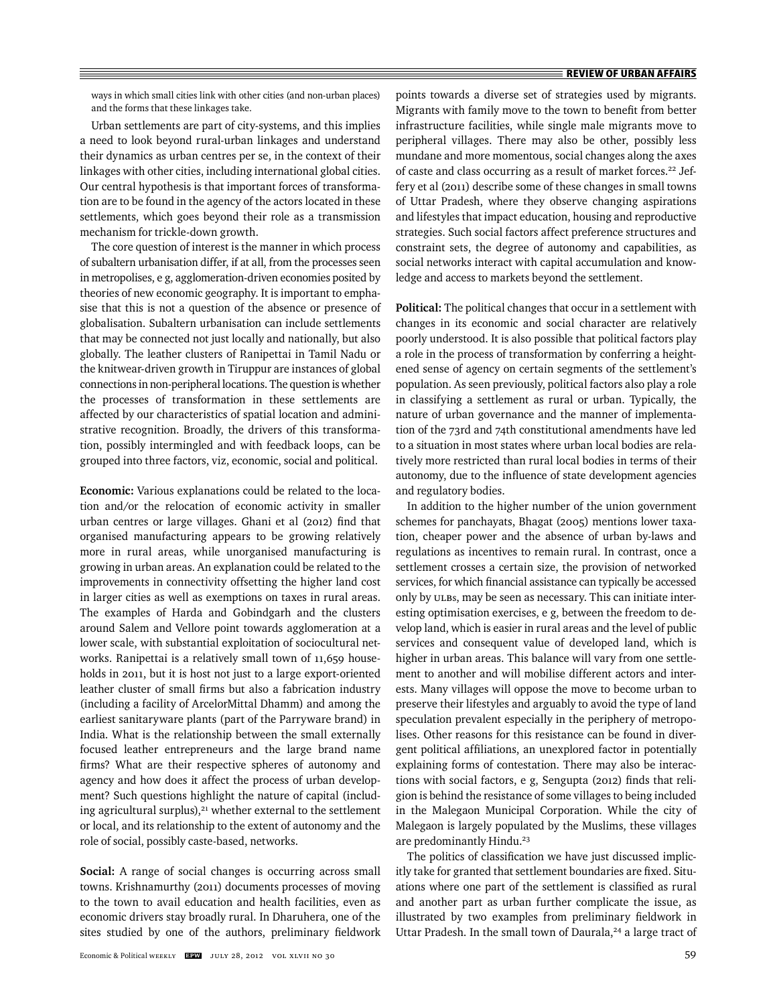ways in which small cities link with other cities (and non-urban places) and the forms that these linkages take.

Urban settlements are part of city-systems, and this implies a need to look beyond rural-urban linkages and understand their dynamics as urban centres per se, in the context of their linkages with other cities, including international global cities. Our central hypothesis is that important forces of transformation are to be found in the agency of the actors located in these settlements, which goes beyond their role as a transmission mechanism for trickle-down growth.

The core question of interest is the manner in which process of subaltern urbanisation differ, if at all, from the processes seen in metropolises, e g, agglomeration-driven economies posited by theories of new economic geography. It is important to emphasise that this is not a question of the absence or presence of globalisation. Subaltern urbanisation can include settlements that may be connected not just locally and nationally, but also globally. The leather clusters of Ranipettai in Tamil Nadu or the knitwear-driven growth in Tiruppur are instances of global connections in non-peripheral locations. The question is whether the processes of transformation in these settlements are affected by our characteristics of spatial location and administrative recognition. Broadly, the drivers of this transformation, possibly intermingled and with feedback loops, can be grouped into three factors, viz, economic, social and political.

**Economic:** Various explanations could be related to the location and/or the relocation of economic activity in smaller urban centres or large villages. Ghani et al (2012) find that organised manufacturing appears to be growing relatively more in rural areas, while unorganised manufacturing is growing in urban areas. An explanation could be related to the improvements in connectivity offsetting the higher land cost in larger cities as well as exemptions on taxes in rural areas. The examples of Harda and Gobindgarh and the clusters around Salem and Vellore point towards agglomeration at a lower scale, with substantial exploitation of sociocultural networks. Ranipettai is a relatively small town of 11,659 households in 2011, but it is host not just to a large export-oriented leather cluster of small firms but also a fabrication industry (including a facility of ArcelorMittal Dhamm) and among the earliest sanitaryware plants (part of the Parryware brand) in India. What is the relationship between the small externally focused leather entrepreneurs and the large brand name firms? What are their respective spheres of autonomy and agency and how does it affect the process of urban development? Such questions highlight the nature of capital (including agricultural surplus), $21$  whether external to the settlement or local, and its relationship to the extent of autonomy and the role of social, possibly caste-based, networks.

**Social:** A range of social changes is occurring across small towns. Krishnamurthy (2011) documents processes of moving to the town to avail education and health facilities, even as economic drivers stay broadly rural. In Dharuhera, one of the sites studied by one of the authors, preliminary fieldwork

points towards a diverse set of strategies used by migrants. Migrants with family move to the town to benefit from better infrastructure facilities, while single male migrants move to peripheral villages. There may also be other, possibly less mundane and more momentous, social changes along the axes of caste and class occurring as a result of market forces.<sup>22</sup> Jeffery et al (2011) describe some of these changes in small towns of Uttar Pradesh, where they observe changing aspirations and lifestyles that impact education, housing and reproductive strategies. Such social factors affect preference structures and constraint sets, the degree of autonomy and capabilities, as social networks interact with capital accumulation and knowledge and access to markets beyond the settlement.

**Political:** The political changes that occur in a settlement with changes in its economic and social character are relatively poorly understood. It is also possible that political factors play a role in the process of transformation by conferring a heightened sense of agency on certain segments of the settlement's population. As seen previously, political factors also play a role in classifying a settlement as rural or urban. Typically, the nature of urban governance and the manner of implementation of the 73rd and 74th constitutional amendments have led to a situation in most states where urban local bodies are relatively more restricted than rural local bodies in terms of their autonomy, due to the influence of state development agencies and regulatory bodies.

In addition to the higher number of the union government schemes for panchayats, Bhagat (2005) mentions lower taxation, cheaper power and the absence of urban by-laws and regulations as incentives to remain rural. In contrast, once a settlement crosses a certain size, the provision of networked services, for which financial assistance can typically be accessed only by ULBs, may be seen as necessary. This can initiate interesting optimisation exercises, e g, between the freedom to develop land, which is easier in rural areas and the level of public services and consequent value of developed land, which is higher in urban areas. This balance will vary from one settlement to another and will mobilise different actors and interests. Many villages will oppose the move to become urban to preserve their lifestyles and arguably to avoid the type of land speculation prevalent especially in the periphery of metropolises. Other reasons for this resistance can be found in divergent political affiliations, an unexplored factor in potentially explaining forms of contestation. There may also be interactions with social factors, e g, Sengupta (2012) finds that religion is behind the resistance of some villages to being included in the Malegaon Municipal Corporation. While the city of Malegaon is largely populated by the Muslims, these villages are predominantly Hindu.<sup>23</sup>

The politics of classification we have just discussed implicitly take for granted that settlement boundaries are fixed. Situations where one part of the settlement is classified as rural and another part as urban further complicate the issue, as illustrated by two examples from preliminary fieldwork in Uttar Pradesh. In the small town of Daurala, $24$  a large tract of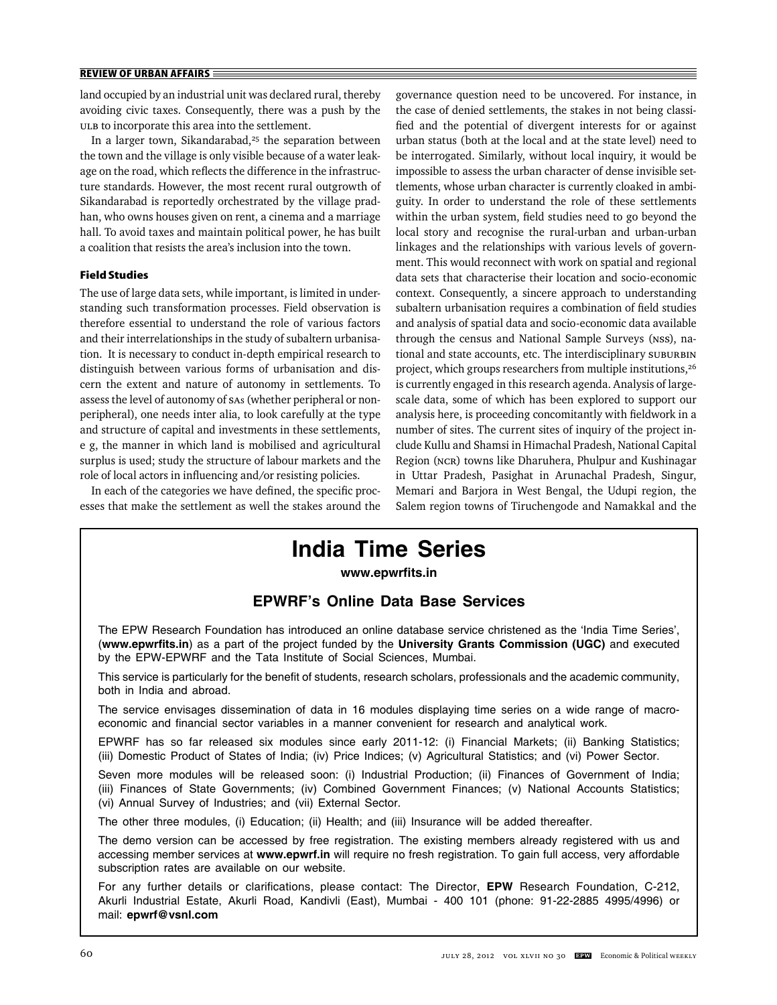land occupied by an industrial unit was declared rural, thereby avoiding civic taxes. Consequently, there was a push by the ULB to incorporate this area into the settlement.

In a larger town, Sikandarabad, $25$  the separation between the town and the village is only visible because of a water leakage on the road, which reflects the difference in the infrastructure standards. However, the most recent rural outgrowth of Sikandarabad is reportedly orchestrated by the village pradhan, who owns houses given on rent, a cinema and a marriage hall. To avoid taxes and maintain political power, he has built a coalition that resists the area's inclusion into the town.

#### **Field Studies**

The use of large data sets, while important, is limited in understanding such transformation processes. Field observation is therefore essential to understand the role of various factors and their interrelationships in the study of subaltern urbanisation. It is necessary to conduct in-depth empirical research to distinguish between various forms of urbanisation and discern the extent and nature of autonomy in settlements. To assess the level of autonomy of SAs (whether peripheral or nonperipheral), one needs inter alia, to look carefully at the type and structure of capital and investments in these settlements, e g, the manner in which land is mobilised and agricultural surplus is used; study the structure of labour markets and the role of local actors in influencing and/or resisting policies.

In each of the categories we have defined, the specific processes that make the settlement as well the stakes around the governance question need to be uncovered. For instance, in the case of denied settlements, the stakes in not being classified and the potential of divergent interests for or against urban status (both at the local and at the state level) need to be interrogated. Similarly, without local inquiry, it would be impossible to assess the urban character of dense invisible settlements, whose urban character is currently cloaked in ambiguity. In order to understand the role of these settlements within the urban system, field studies need to go beyond the local story and recognise the rural-urban and urban-urban linkages and the relationships with various levels of government. This would reconnect with work on spatial and regional data sets that characterise their location and socio-economic context. Consequently, a sincere approach to understanding subaltern urbanisation requires a combination of field studies and analysis of spatial data and socio-economic data available through the census and National Sample Surveys (NSS), national and state accounts, etc. The interdisciplinary SUBURBIN project, which groups researchers from multiple institutions,<sup>26</sup> is currently engaged in this research agenda. Analysis of largescale data, some of which has been explored to support our analysis here, is proceeding concomitantly with fieldwork in a number of sites. The current sites of inquiry of the project include Kullu and Shamsi in Himachal Pradesh, National Capital Region (NCR) towns like Dharuhera, Phulpur and Kushinagar in Uttar Pradesh, Pasighat in Arunachal Pradesh, Singur, Memari and Barjora in West Bengal, the Udupi region, the Salem region towns of Tiruchengode and Namakkal and the

## **India Time Series**

www.epwrfits.in

### **EPWRF's Online Data Base Services**

The EPW Research Foundation has introduced an online database service christened as the 'India Time Series', (**www.epwrfi ts.in**) as a part of the project funded by the **University Grants Commission (UGC)** and executed by the EPW-EPWRF and the Tata Institute of Social Sciences, Mumbai.

This service is particularly for the benefit of students, research scholars, professionals and the academic community, both in India and abroad.

The service envisages dissemination of data in 16 modules displaying time series on a wide range of macroeconomic and financial sector variables in a manner convenient for research and analytical work.

EPWRF has so far released six modules since early 2011-12: (i) Financial Markets; (ii) Banking Statistics; (iii) Domestic Product of States of India; (iv) Price Indices; (v) Agricultural Statistics; and (vi) Power Sector.

Seven more modules will be released soon: (i) Industrial Production; (ii) Finances of Government of India; (iii) Finances of State Governments; (iv) Combined Government Finances; (v) National Accounts Statistics; (vi) Annual Survey of Industries; and (vii) External Sector.

The other three modules, (i) Education; (ii) Health; and (iii) Insurance will be added thereafter.

The demo version can be accessed by free registration. The existing members already registered with us and accessing member services at **www.epwrf.in** will require no fresh registration. To gain full access, very affordable subscription rates are available on our website.

For any further details or clarifications, please contact: The Director, EPW Research Foundation, C-212, Akurli Industrial Estate, Akurli Road, Kandivli (East), Mumbai - 400 101 (phone: 91-22-2885 4995/4996) or mail: **epwrf@vsnl.com**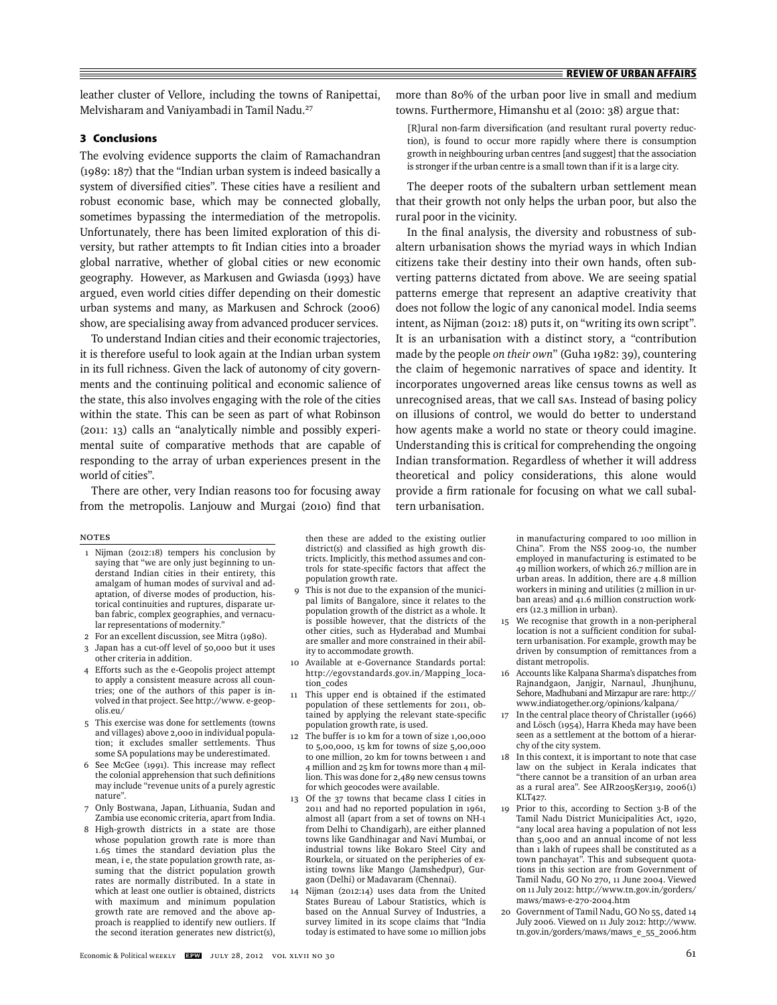leather cluster of Vellore, including the towns of Ranipettai, Melvisharam and Vaniyambadi in Tamil Nadu.27

#### **3 Conclusions**

The evolving evidence supports the claim of Ramachandran (1989: 187) that the "Indian urban system is indeed basically a system of diversified cities". These cities have a resilient and robust economic base, which may be connected globally, sometimes bypassing the intermediation of the metropolis. Unfortunately, there has been limited exploration of this diversity, but rather attempts to fit Indian cities into a broader global narrative, whether of global cities or new economic geography. However, as Markusen and Gwiasda (1993) have argued, even world cities differ depending on their domestic urban systems and many, as Markusen and Schrock (2006) show, are specialising away from advanced producer services.

To understand Indian cities and their economic trajectories, it is therefore useful to look again at the Indian urban system in its full richness. Given the lack of autonomy of city governments and the continuing political and economic salience of the state, this also involves engaging with the role of the cities within the state. This can be seen as part of what Robinson (2011: 13) calls an "analytically nimble and possibly experimental suite of comparative methods that are capable of responding to the array of urban experiences present in the world of cities".

There are other, very Indian reasons too for focusing away from the metropolis. Lanjouw and Murgai (2010) find that

#### Notes

- 1 Nijman (2012:18) tempers his conclusion by saying that "we are only just beginning to understand Indian cities in their entirety, this amalgam of human modes of survival and adaptation, of diverse modes of production, historical continuities and ruptures, disparate urban fabric, complex geographies, and vernacular representations of modernity."
- 2 For an excellent discussion, see Mitra (1980).
- 3 Japan has a cut-off level of 50,000 but it uses
- other criteria in addition. 4 Efforts such as the e-Geopolis project attempt to apply a consistent measure across all countries; one of the authors of this paper is involved in that project. See http://www. e-geopolis.eu/
- 5 This exercise was done for settlements (towns and villages) above 2,000 in individual population; it excludes smaller settlements. Thus some SA populations may be underestimated.
- $6$  See McGee (1991). This increase may reflect the colonial apprehension that such definitions may include "revenue units of a purely agrestic nature".
- 7 Only Bostwana, Japan, Lithuania, Sudan and Zambia use economic criteria, apart from India.
- 8 High-growth districts in a state are those whose population growth rate is more than 1.65 times the standard deviation plus the mean, i e, the state population growth rate, assuming that the district population growth rates are normally distributed. In a state in which at least one outlier is obtained, districts with maximum and minimum population growth rate are removed and the above approach is reapplied to identify new outliers. If the second iteration generates new district(s),

then these are added to the existing outlier district(s) and classified as high growth districts. Implicitly, this method assumes and controls for state-specific factors that affect the population growth rate.

- 9 This is not due to the expansion of the municipal limits of Bangalore, since it relates to the population growth of the district as a whole. It is possible however, that the districts of the other cities, such as Hyderabad and Mumbai are smaller and more constrained in their ability to accommodate growth.
- 10 Available at e-Governance Standards portal: http://egovstandards.gov.in/Mapping\_location\_codes
- 11 This upper end is obtained if the estimated population of these settlements for 2011, obtained by applying the relevant state-specific population growth rate, is used.
- 12 The buffer is 10 km for a town of size 1,00,000 to 5,00,000, 15 km for towns of size 5,00,000 to one million, 20 km for towns between 1 and 4 million and 25 km for towns more than 4 million. This was done for 2,489 new census towns for which geocodes were available.
- 13 Of the 37 towns that became class I cities in 2011 and had no reported population in 1961, almost all (apart from a set of towns on NH-1 from Delhi to Chandigarh), are either planned towns like Gandhinagar and Navi Mumbai, or industrial towns like Bokaro Steel City and Rourkela, or situated on the peripheries of existing towns like Mango (Jamshedpur), Gurgaon (Delhi) or Madavaram (Chennai).
- Nijman (2012:14) uses data from the United States Bureau of Labour Statistics, which is based on the Annual Survey of Industries, a survey limited in its scope claims that "India today is estimated to have some 10 million jobs

more than 80% of the urban poor live in small and medium towns. Furthermore, Himanshu et al (2010: 38) argue that:

[R]ural non-farm diversification (and resultant rural poverty reduction), is found to occur more rapidly where there is consumption growth in neighbouring urban centres [and suggest] that the association is stronger if the urban centre is a small town than if it is a large city.

The deeper roots of the subaltern urban settlement mean that their growth not only helps the urban poor, but also the rural poor in the vicinity.

In the final analysis, the diversity and robustness of subaltern urbanisation shows the myriad ways in which Indian citizens take their destiny into their own hands, often subverting patterns dictated from above. We are seeing spatial patterns emerge that represent an adaptive creativity that does not follow the logic of any canonical model. India seems intent, as Nijman (2012: 18) puts it, on "writing its own script". It is an urbanisation with a distinct story, a "contribution made by the people *on their own*" (Guha 1982: 39), countering the claim of hegemonic narratives of space and identity. It incorporates ungoverned areas like census towns as well as unrecognised areas, that we call SAs. Instead of basing policy on illusions of control, we would do better to understand how agents make a world no state or theory could imagine. Understanding this is critical for comprehending the ongoing Indian transformation. Regardless of whether it will address theoretical and policy considerations, this alone would provide a firm rationale for focusing on what we call subaltern urbanisation.

> in manufacturing compared to 100 million in China". From the NSS 2009-10, the number employed in manufacturing is estimated to be 49 million workers, of which 26.7 million are in urban areas. In addition, there are 4.8 million workers in mining and utilities (2 million in urban areas) and 41.6 million construction workers (12.3 million in urban).

- 15 We recognise that growth in a non-peripheral location is not a sufficient condition for subaltern urbanisation. For example, growth may be driven by consumption of remittances from a distant metropolis.
- 16 Accounts like Kalpana Sharma's dispatches from Rajnandgaon, Janjgir, Narnaul, Jhunjhunu, Sehore, Madhubani and Mirzapur are rare: http:// www.indiatogether.org/opinions/kalpana/
- 17 In the central place theory of Christaller (1966) and Lösch (1954), Harra Kheda may have been seen as a settlement at the bottom of a hierarchy of the city system.
- 18 In this context, it is important to note that case law on the subject in Kerala indicates that "there cannot be a transition of an urban area as a rural area". See AIR2005Ker319, 2006(1) KLT427.
- 19 Prior to this, according to Section 3-B of the Tamil Nadu District Municipalities Act, 1920, "any local area having a population of not less than 5,000 and an annual income of not less than 1 lakh of rupees shall be constituted as a town panchayat". This and subsequent quotations in this section are from Government of Tamil Nadu, GO No 270, 11 June 2004. Viewed on 11 July 2012: http://www.tn.gov.in/gorders/ maws/maws-e-270-2004.htm
- 20 Government of Tamil Nadu, GO No 55, dated 14 July 2006. Viewed on 11 July 2012: http://www. tn.gov.in/gorders/maws/maws\_e\_55\_2006.htm